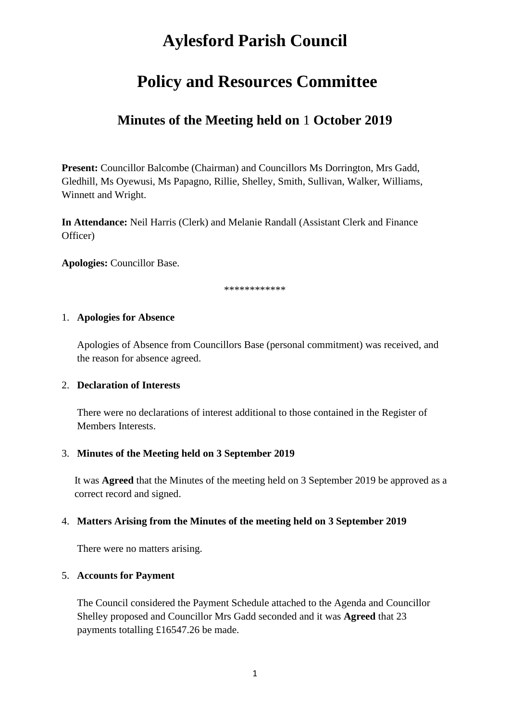# **Aylesford Parish Council**

# **Policy and Resources Committee**

## **Minutes of the Meeting held on** 1 **October 2019**

**Present:** Councillor Balcombe (Chairman) and Councillors Ms Dorrington, Mrs Gadd, Gledhill, Ms Oyewusi, Ms Papagno, Rillie, Shelley, Smith, Sullivan, Walker, Williams, Winnett and Wright.

**In Attendance:** Neil Harris (Clerk) and Melanie Randall (Assistant Clerk and Finance Officer)

**Apologies:** Councillor Base.

\*\*\*\*\*\*\*\*\*\*\*\*

#### 1. **Apologies for Absence**

Apologies of Absence from Councillors Base (personal commitment) was received, and the reason for absence agreed.

#### 2. **Declaration of Interests**

There were no declarations of interest additional to those contained in the Register of Members Interests.

#### 3. **Minutes of the Meeting held on 3 September 2019**

It was **Agreed** that the Minutes of the meeting held on 3 September 2019 be approved as a correct record and signed.

#### 4. **Matters Arising from the Minutes of the meeting held on 3 September 2019**

There were no matters arising.

#### 5. **Accounts for Payment**

The Council considered the Payment Schedule attached to the Agenda and Councillor Shelley proposed and Councillor Mrs Gadd seconded and it was **Agreed** that 23 payments totalling £16547.26 be made.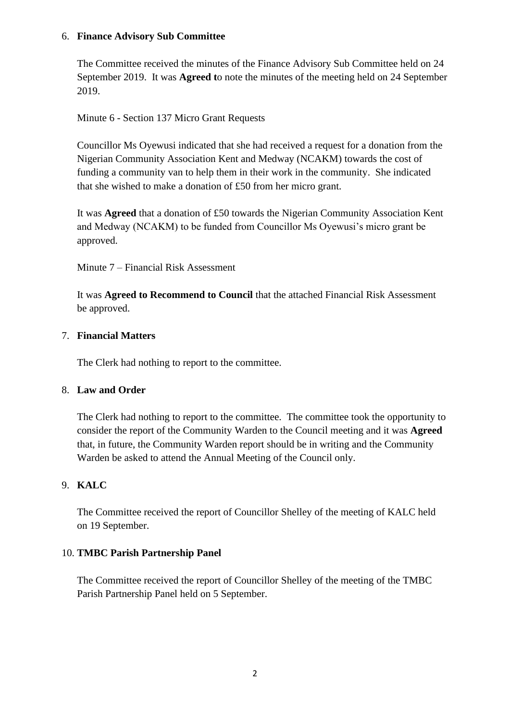#### 6. **Finance Advisory Sub Committee**

The Committee received the minutes of the Finance Advisory Sub Committee held on 24 September 2019. It was **Agreed t**o note the minutes of the meeting held on 24 September 2019.

Minute 6 - Section 137 Micro Grant Requests

Councillor Ms Oyewusi indicated that she had received a request for a donation from the Nigerian Community Association Kent and Medway (NCAKM) towards the cost of funding a community van to help them in their work in the community. She indicated that she wished to make a donation of £50 from her micro grant.

It was **Agreed** that a donation of £50 towards the Nigerian Community Association Kent and Medway (NCAKM) to be funded from Councillor Ms Oyewusi's micro grant be approved.

Minute 7 – Financial Risk Assessment

It was **Agreed to Recommend to Council** that the attached Financial Risk Assessment be approved.

### 7. **Financial Matters**

The Clerk had nothing to report to the committee.

#### 8. **Law and Order**

The Clerk had nothing to report to the committee. The committee took the opportunity to consider the report of the Community Warden to the Council meeting and it was **Agreed**  that, in future, the Community Warden report should be in writing and the Community Warden be asked to attend the Annual Meeting of the Council only.

## 9. **KALC**

The Committee received the report of Councillor Shelley of the meeting of KALC held on 19 September.

## 10. **TMBC Parish Partnership Panel**

The Committee received the report of Councillor Shelley of the meeting of the TMBC Parish Partnership Panel held on 5 September.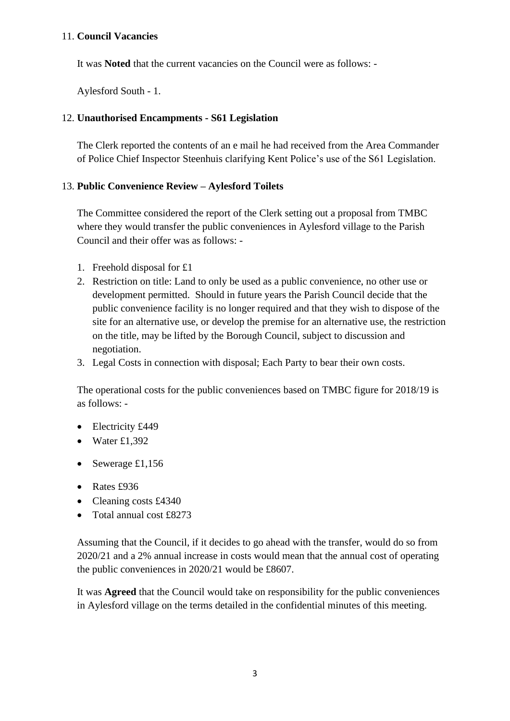#### 11. **Council Vacancies**

It was **Noted** that the current vacancies on the Council were as follows: -

Aylesford South - 1.

#### 12. **Unauthorised Encampments - S61 Legislation**

The Clerk reported the contents of an e mail he had received from the Area Commander of Police Chief Inspector Steenhuis clarifying Kent Police's use of the S61 Legislation.

#### 13. **Public Convenience Review – Aylesford Toilets**

The Committee considered the report of the Clerk setting out a proposal from TMBC where they would transfer the public conveniences in Aylesford village to the Parish Council and their offer was as follows: -

- 1. Freehold disposal for £1
- 2. Restriction on title: Land to only be used as a public convenience, no other use or development permitted. Should in future years the Parish Council decide that the public convenience facility is no longer required and that they wish to dispose of the site for an alternative use, or develop the premise for an alternative use, the restriction on the title, may be lifted by the Borough Council, subject to discussion and negotiation.
- 3. Legal Costs in connection with disposal; Each Party to bear their own costs.

The operational costs for the public conveniences based on TMBC figure for 2018/19 is as follows: -

- Electricity £449
- Water  $£1,392$
- Sewerage  $£1,156$
- Rates £936
- Cleaning costs £4340
- Total annual cost £8273

Assuming that the Council, if it decides to go ahead with the transfer, would do so from 2020/21 and a 2% annual increase in costs would mean that the annual cost of operating the public conveniences in 2020/21 would be £8607.

It was **Agreed** that the Council would take on responsibility for the public conveniences in Aylesford village on the terms detailed in the confidential minutes of this meeting.